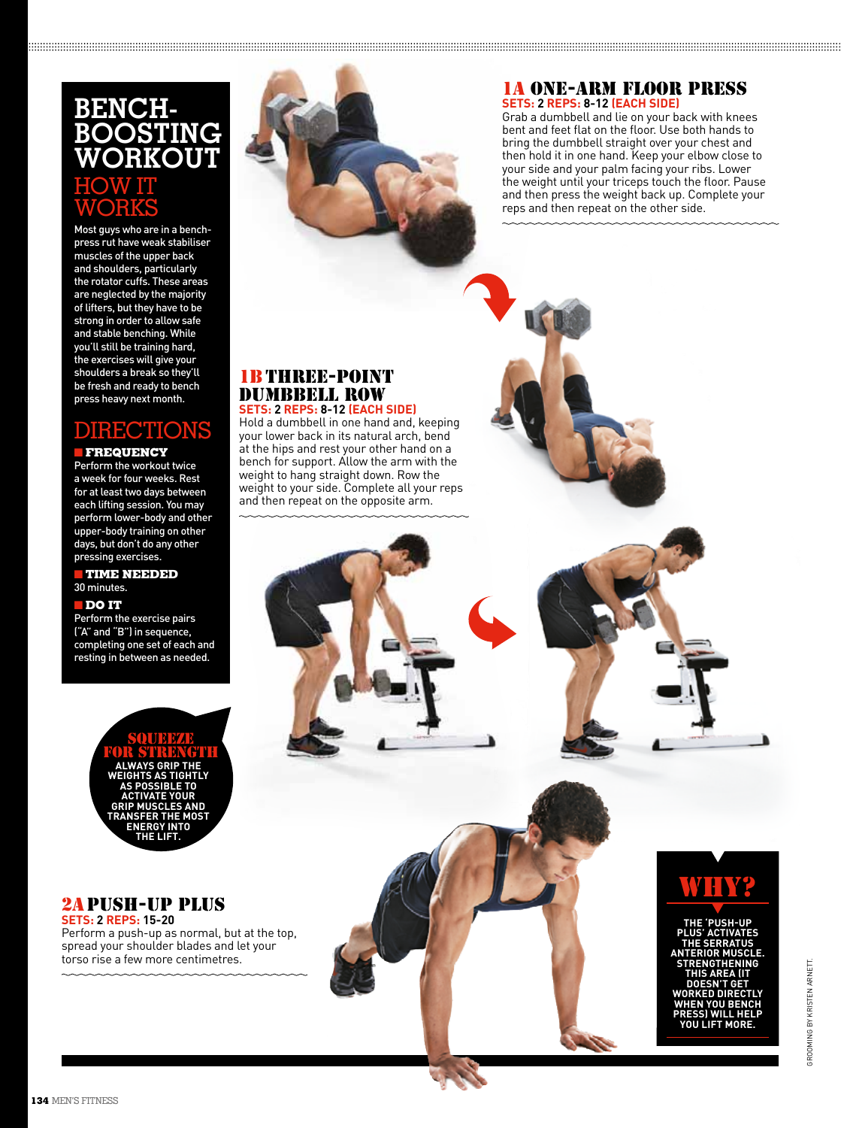# **Bench-Boosting Workout** HOW IT WORKS

Most guys who are in a benchpress rut have weak stabiliser muscles of the upper back and shoulders, particularly the rotator cuffs. These areas are neglected by the majority of lifters, but they have to be strong in order to allow safe and stable benching. While you'll still be training hard, the exercises will give your shoulders a break so they'll be fresh and ready to bench press heavy next month.

# Directions

### **FREQUENCY**

Perform the workout twice a week for four weeks. Rest for at least two days between each lifting session. You may perform lower-body and other upper-body training on other days, but don't do any other pressing exercises.

#### **TIME NEEDED** 30 minutes.

#### n **DO IT**

Perform the exercise pairs ("A" and "B") in sequence, completing one set of each and resting in between as needed.

> **Always grip the weights as tightly as possible to activate your grip muscles and TRANSFER THE MOS energy into the lift.** SQUEEY for strength

## 2a PUSH-UP PLUS **SETS: 2 REPS: 15-20**

Perform a push-up as normal, but at the top, spread your shoulder blades and let your torso rise a few more centimetres.



#### 1a ONE-ARM FLOOR PRESS **SETS: 2 REPS: 8-12 (EACH SIDE)**

Grab a dumbbell and lie on your back with knees bent and feet flat on the floor. Use both hands to bring the dumbbell straight over your chest and then hold it in one hand. Keep your elbow close to your side and your palm facing your ribs. Lower the weight until your triceps touch the floor. Pause and then press the weight back up. Complete your reps and then repeat on the other side.

#### 1b THREE-POINT DUMBBELL ROW **SETS: 2 REPS: 8-12 (EACH SIDE)**

Hold a dumbbell in one hand and, keeping your lower back in its natural arch, bend at the hips and rest your other hand on a bench for support. Allow the arm with the weight to hang straight down. Row the weight to your side. Complete all your reps and then repeat on the opposite arm.



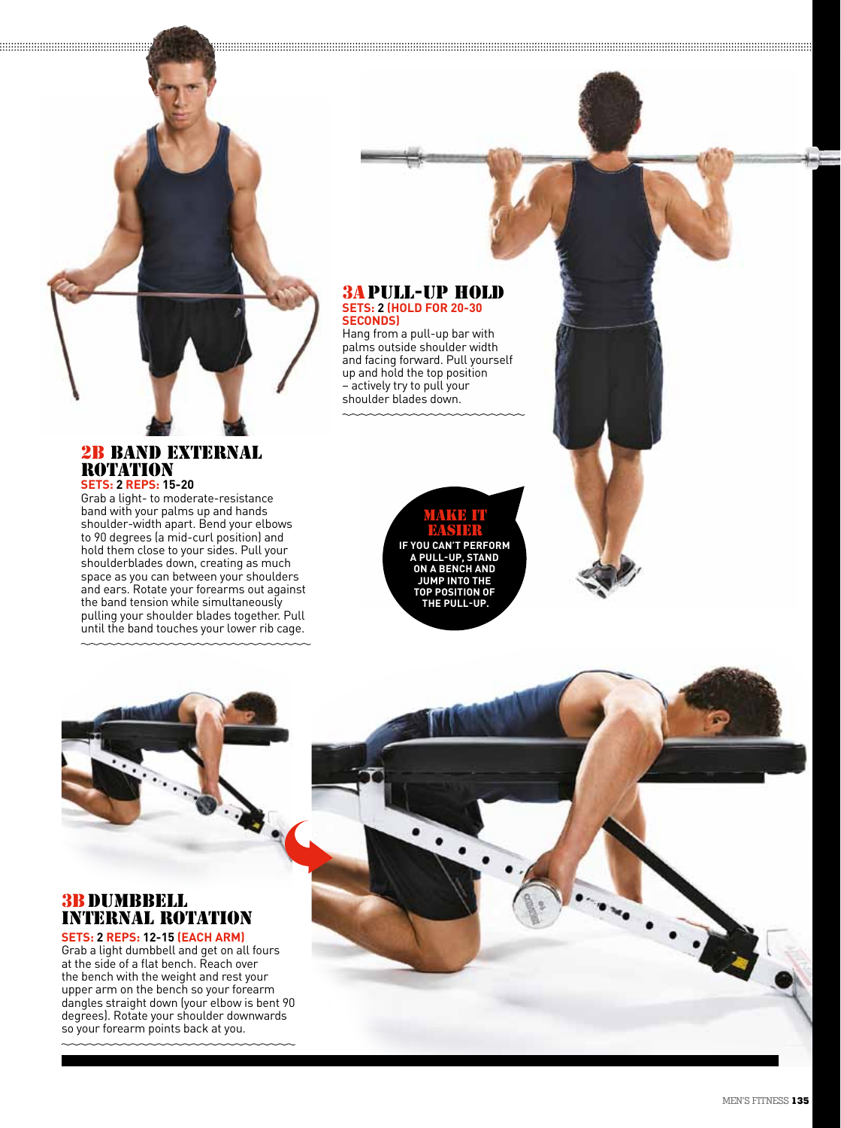#### 3a PULL-UP HOLD **SETS: 2 (HOLD FOR 20-30 SECONDS)**

Hang from a pull-up bar with palms outside shoulder width and facing forward. Pull yourself up and hold the top position – actively try to pull your shoulder blades down.

### 2b BAND EXTERNAL ROTATION **SETS: 2 REPS: 15-20**

Grab a light- to moderate-resistance band with your palms up and hands shoulder-width apart. Bend your elbows to 90 degrees (a mid-curl position) and hold them close to your sides. Pull your shoulderblades down, creating as much space as you can between your shoulders and ears. Rotate your forearms out against the band tension while simultaneously pulling your shoulder blades together. Pull until the band touches your lower rib cage.





# 3b DUMBBELL INTERNAL ROTATION

**SETS: 2 REPS: 12-15 (EACH ARM)** Grab a light dumbbell and get on all fours at the side of a flat bench. Reach over the bench with the weight and rest your upper arm on the bench so your forearm dangles straight down (your elbow is bent 90 degrees). Rotate your shoulder downwards so your forearm points back at you.